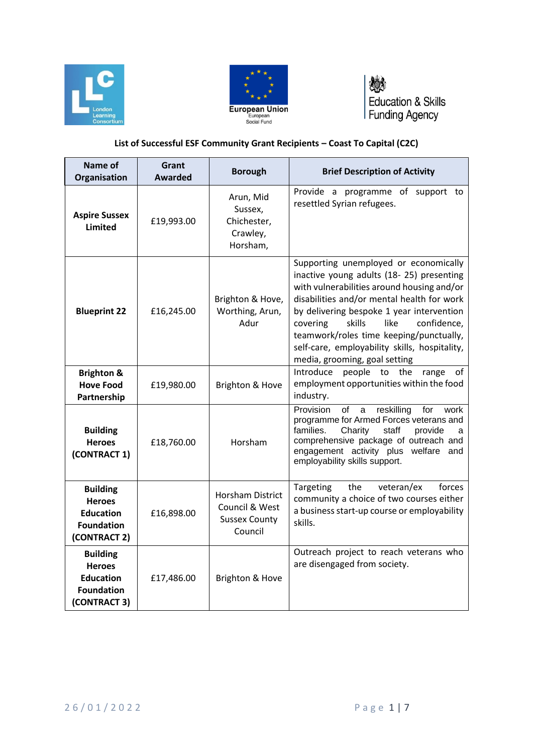



燃 Education & Skills<br>Funding Agency

## **List of Successful ESF Community Grant Recipients – Coast To Capital (C2C)**

| Name of<br><b>Organisation</b>                                                            | Grant<br><b>Awarded</b> | <b>Borough</b>                                                               | <b>Brief Description of Activity</b>                                                                                                                                                                                                                                                                                                                                                                 |
|-------------------------------------------------------------------------------------------|-------------------------|------------------------------------------------------------------------------|------------------------------------------------------------------------------------------------------------------------------------------------------------------------------------------------------------------------------------------------------------------------------------------------------------------------------------------------------------------------------------------------------|
| <b>Aspire Sussex</b><br><b>Limited</b>                                                    | £19,993.00              | Arun, Mid<br>Sussex,<br>Chichester,<br>Crawley,<br>Horsham,                  | Provide a programme of support to<br>resettled Syrian refugees.                                                                                                                                                                                                                                                                                                                                      |
| <b>Blueprint 22</b>                                                                       | £16,245.00              | Brighton & Hove,<br>Worthing, Arun,<br>Adur                                  | Supporting unemployed or economically<br>inactive young adults (18-25) presenting<br>with vulnerabilities around housing and/or<br>disabilities and/or mental health for work<br>by delivering bespoke 1 year intervention<br>skills<br>like<br>confidence,<br>covering<br>teamwork/roles time keeping/punctually,<br>self-care, employability skills, hospitality,<br>media, grooming, goal setting |
| <b>Brighton &amp;</b><br><b>Hove Food</b><br>Partnership                                  | £19,980.00              | Brighton & Hove                                                              | people to the<br>Introduce<br>range<br>of<br>employment opportunities within the food<br>industry.                                                                                                                                                                                                                                                                                                   |
| <b>Building</b><br><b>Heroes</b><br>(CONTRACT 1)                                          | £18,760.00              | Horsham                                                                      | Provision<br>reskilling<br>of<br>for<br>a<br>work<br>programme for Armed Forces veterans and<br>families.<br>Charity<br>staff<br>provide<br>a<br>comprehensive package of outreach and<br>engagement activity plus welfare and<br>employability skills support.                                                                                                                                      |
| <b>Building</b><br><b>Heroes</b><br><b>Education</b><br><b>Foundation</b><br>(CONTRACT 2) | £16,898.00              | <b>Horsham District</b><br>Council & West<br><b>Sussex County</b><br>Council | forces<br>Targeting<br>the<br>veteran/ex<br>community a choice of two courses either<br>a business start-up course or employability<br>skills.                                                                                                                                                                                                                                                       |
| <b>Building</b><br><b>Heroes</b><br><b>Education</b><br><b>Foundation</b><br>(CONTRACT 3) | £17,486.00              | Brighton & Hove                                                              | Outreach project to reach veterans who<br>are disengaged from society.                                                                                                                                                                                                                                                                                                                               |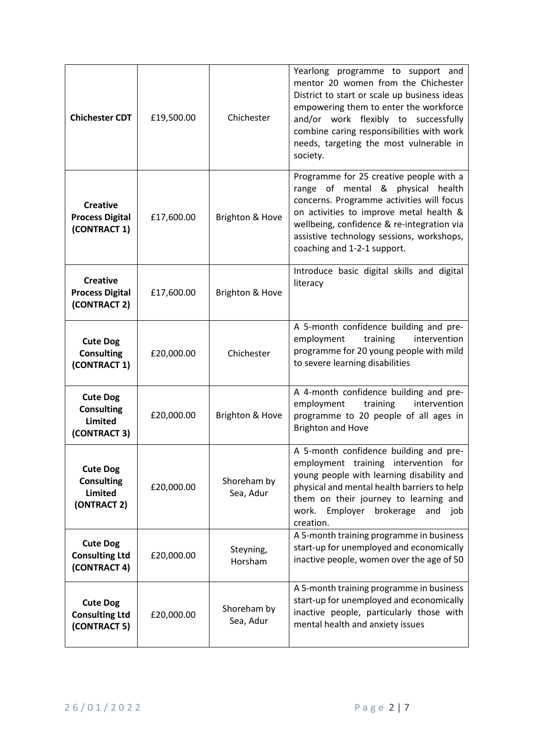| <b>Chichester CDT</b>                                           | £19,500.00 | Chichester               | Yearlong programme to support and<br>mentor 20 women from the Chichester<br>District to start or scale up business ideas<br>empowering them to enter the workforce<br>and/or work flexibly to successfully<br>combine caring responsibilities with work<br>needs, targeting the most vulnerable in<br>society. |
|-----------------------------------------------------------------|------------|--------------------------|----------------------------------------------------------------------------------------------------------------------------------------------------------------------------------------------------------------------------------------------------------------------------------------------------------------|
| <b>Creative</b><br><b>Process Digital</b><br>(CONTRACT 1)       | £17,600.00 | Brighton & Hove          | Programme for 25 creative people with a<br>range of mental & physical health<br>concerns. Programme activities will focus<br>on activities to improve metal health &<br>wellbeing, confidence & re-integration via<br>assistive technology sessions, workshops,<br>coaching and 1-2-1 support.                 |
| <b>Creative</b><br><b>Process Digital</b><br>(CONTRACT 2)       | £17,600.00 | Brighton & Hove          | Introduce basic digital skills and digital<br>literacy                                                                                                                                                                                                                                                         |
| <b>Cute Dog</b><br><b>Consulting</b><br>(CONTRACT 1)            | £20,000.00 | Chichester               | A 5-month confidence building and pre-<br>employment<br>training<br>intervention<br>programme for 20 young people with mild<br>to severe learning disabilities                                                                                                                                                 |
| <b>Cute Dog</b><br><b>Consulting</b><br>Limited<br>(CONTRACT 3) | £20,000.00 | Brighton & Hove          | A 4-month confidence building and pre-<br>employment<br>training<br>intervention<br>programme to 20 people of all ages in<br><b>Brighton and Hove</b>                                                                                                                                                          |
| <b>Cute Dog</b><br><b>Consulting</b><br>Limited<br>(ONTRACT 2)  | £20,000.00 | Shoreham by<br>Sea, Adur | A 5-month confidence building and pre-<br>employment training intervention for<br>young people with learning disability and<br>physical and mental health barriers to help<br>them on their journey to learning and<br>Employer<br>brokerage<br>work.<br>and<br>job<br>creation.                               |
| <b>Cute Dog</b><br><b>Consulting Ltd</b><br>(CONTRACT 4)        | £20,000.00 | Steyning,<br>Horsham     | A 5-month training programme in business<br>start-up for unemployed and economically<br>inactive people, women over the age of 50                                                                                                                                                                              |
| <b>Cute Dog</b><br><b>Consulting Ltd</b><br>(CONTRACT 5)        | £20,000.00 | Shoreham by<br>Sea, Adur | A 5-month training programme in business<br>start-up for unemployed and economically<br>inactive people, particularly those with<br>mental health and anxiety issues                                                                                                                                           |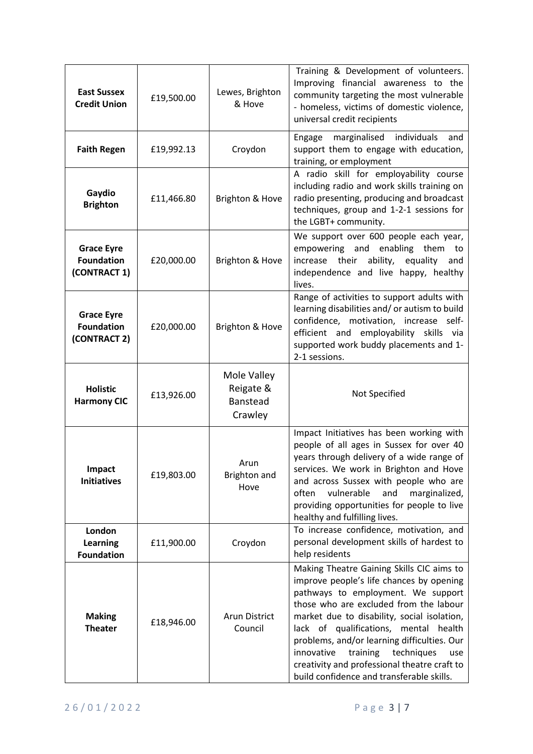| <b>East Sussex</b><br><b>Credit Union</b>              | £19,500.00 | Lewes, Brighton<br>& Hove                       | Training & Development of volunteers.<br>Improving financial awareness to the<br>community targeting the most vulnerable<br>- homeless, victims of domestic violence,<br>universal credit recipients                                                                                                                                                                                                                                                     |
|--------------------------------------------------------|------------|-------------------------------------------------|----------------------------------------------------------------------------------------------------------------------------------------------------------------------------------------------------------------------------------------------------------------------------------------------------------------------------------------------------------------------------------------------------------------------------------------------------------|
| <b>Faith Regen</b>                                     | £19,992.13 | Croydon                                         | marginalised<br>individuals<br>Engage<br>and<br>support them to engage with education,<br>training, or employment                                                                                                                                                                                                                                                                                                                                        |
| Gaydio<br><b>Brighton</b>                              | £11,466.80 | Brighton & Hove                                 | A radio skill for employability course<br>including radio and work skills training on<br>radio presenting, producing and broadcast<br>techniques, group and 1-2-1 sessions for<br>the LGBT+ community.                                                                                                                                                                                                                                                   |
| <b>Grace Eyre</b><br><b>Foundation</b><br>(CONTRACT 1) | £20,000.00 | Brighton & Hove                                 | We support over 600 people each year,<br>enabling<br>empowering and<br>them to<br>increase their ability,<br>equality<br>and<br>independence and live happy, healthy<br>lives.                                                                                                                                                                                                                                                                           |
| <b>Grace Eyre</b><br><b>Foundation</b><br>(CONTRACT 2) | £20,000.00 | Brighton & Hove                                 | Range of activities to support adults with<br>learning disabilities and/or autism to build<br>confidence, motivation, increase<br>self-<br>efficient and employability skills via<br>supported work buddy placements and 1-<br>2-1 sessions.                                                                                                                                                                                                             |
| <b>Holistic</b><br><b>Harmony CIC</b>                  | £13,926.00 | Mole Valley<br>Reigate &<br>Banstead<br>Crawley | Not Specified                                                                                                                                                                                                                                                                                                                                                                                                                                            |
| Impact<br><b>Initiatives</b>                           | £19,803.00 | Arun<br><b>Brighton and</b><br>Hove             | Impact Initiatives has been working with<br>people of all ages in Sussex for over 40<br>years through delivery of a wide range of<br>services. We work in Brighton and Hove<br>and across Sussex with people who are<br>vulnerable<br>and<br>marginalized,<br>often<br>providing opportunities for people to live<br>healthy and fulfilling lives.                                                                                                       |
| London<br>Learning<br><b>Foundation</b>                | £11,900.00 | Croydon                                         | To increase confidence, motivation, and<br>personal development skills of hardest to<br>help residents                                                                                                                                                                                                                                                                                                                                                   |
| <b>Making</b><br><b>Theater</b>                        | £18,946.00 | <b>Arun District</b><br>Council                 | Making Theatre Gaining Skills CIC aims to<br>improve people's life chances by opening<br>pathways to employment. We support<br>those who are excluded from the labour<br>market due to disability, social isolation,<br>lack of qualifications, mental health<br>problems, and/or learning difficulties. Our<br>innovative<br>training<br>techniques<br>use<br>creativity and professional theatre craft to<br>build confidence and transferable skills. |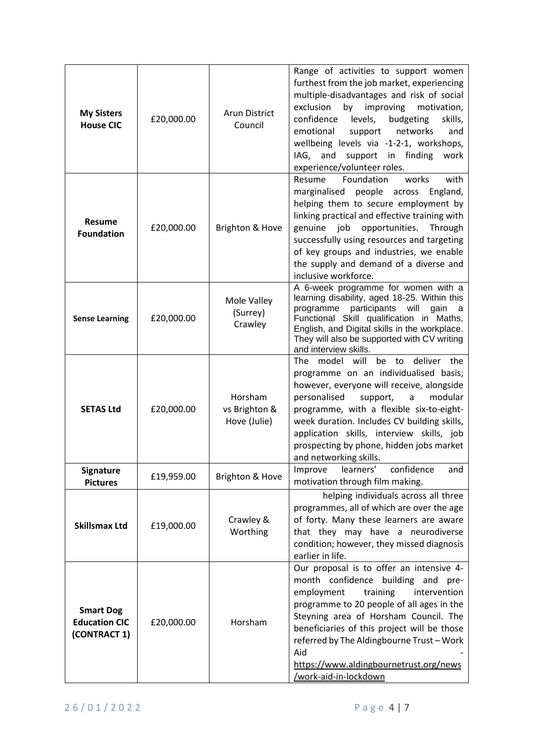| <b>My Sisters</b><br><b>House CIC</b>                    | £20,000.00 | <b>Arun District</b><br>Council          | Range of activities to support women<br>furthest from the job market, experiencing<br>multiple-disadvantages and risk of social<br>exclusion<br>by<br>improving<br>motivation,<br>confidence<br>levels,<br>budgeting<br>skills,<br>emotional<br>support<br>networks<br>and<br>wellbeing levels via -1-2-1, workshops,<br>and support<br>in finding<br>IAG,<br>work<br>experience/volunteer roles.      |
|----------------------------------------------------------|------------|------------------------------------------|--------------------------------------------------------------------------------------------------------------------------------------------------------------------------------------------------------------------------------------------------------------------------------------------------------------------------------------------------------------------------------------------------------|
| <b>Resume</b><br><b>Foundation</b>                       | £20,000.00 | Brighton & Hove                          | Foundation<br>with<br>Resume<br>works<br>marginalised people<br>across<br>England,<br>helping them to secure employment by<br>linking practical and effective training with<br>genuine<br>job<br>opportunities.<br>Through<br>successfully using resources and targeting<br>of key groups and industries, we enable<br>the supply and demand of a diverse and<br>inclusive workforce.                  |
| <b>Sense Learning</b>                                    | £20,000.00 | Mole Valley<br>(Surrey)<br>Crawley       | A 6-week programme for women with a<br>learning disability, aged 18-25. Within this<br>participants<br>will<br>programme<br>gain<br>- a<br>Functional Skill qualification in Maths,<br>English, and Digital skills in the workplace.<br>They will also be supported with CV writing<br>and interview skills.                                                                                           |
| <b>SETAS Ltd</b>                                         | £20,000.00 | Horsham<br>vs Brighton &<br>Hove (Julie) | deliver<br><b>The</b><br>model will<br>be<br>the<br>to<br>programme on an individualised basis;<br>however, everyone will receive, alongside<br>personalised<br>modular<br>support,<br>a<br>programme, with a flexible six-to-eight-<br>week duration. Includes CV building skills,<br>application skills, interview skills, job<br>prospecting by phone, hidden jobs market<br>and networking skills. |
| Signature<br><b>Pictures</b>                             | £19,959.00 | Brighton & Hove                          | learners'<br>Improve<br>confidence<br>and<br>motivation through film making.                                                                                                                                                                                                                                                                                                                           |
| <b>Skillsmax Ltd</b>                                     | £19,000.00 | Crawley &<br>Worthing                    | helping individuals across all three<br>programmes, all of which are over the age<br>of forty. Many these learners are aware<br>that they may have a neurodiverse<br>condition; however, they missed diagnosis<br>earlier in life.                                                                                                                                                                     |
| <b>Smart Dog</b><br><b>Education CIC</b><br>(CONTRACT 1) | £20,000.00 | Horsham                                  | Our proposal is to offer an intensive 4-<br>month confidence building and pre-<br>employment<br>training<br>intervention<br>programme to 20 people of all ages in the<br>Steyning area of Horsham Council. The<br>beneficiaries of this project will be those<br>referred by The Aldingbourne Trust - Work<br>Aid<br>https://www.aldingbournetrust.org/news<br>work-aid-in-lockdown                    |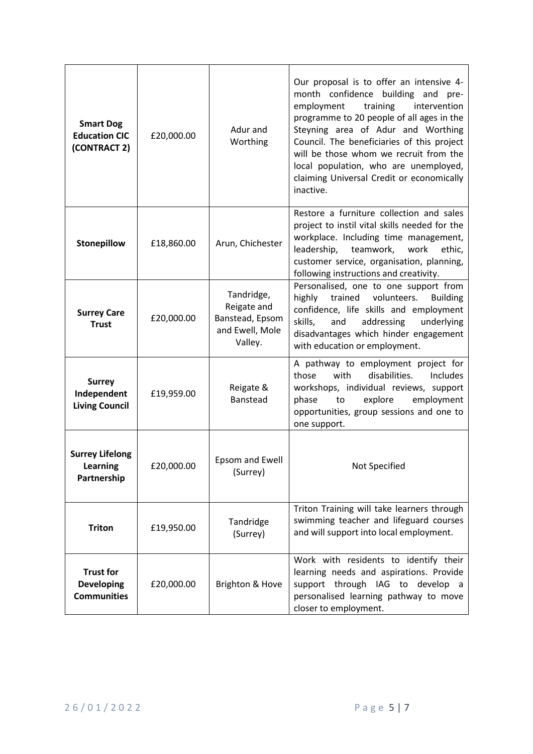| <b>Smart Dog</b><br><b>Education CIC</b><br>(CONTRACT 2)    | £20,000.00 | Adur and<br>Worthing                                                       | Our proposal is to offer an intensive 4-<br>month confidence building and pre-<br>employment<br>training<br>intervention<br>programme to 20 people of all ages in the<br>Steyning area of Adur and Worthing<br>Council. The beneficiaries of this project<br>will be those whom we recruit from the<br>local population, who are unemployed,<br>claiming Universal Credit or economically<br>inactive. |
|-------------------------------------------------------------|------------|----------------------------------------------------------------------------|--------------------------------------------------------------------------------------------------------------------------------------------------------------------------------------------------------------------------------------------------------------------------------------------------------------------------------------------------------------------------------------------------------|
| Stonepillow                                                 | £18,860.00 | Arun, Chichester                                                           | Restore a furniture collection and sales<br>project to instil vital skills needed for the<br>workplace. Including time management,<br>leadership,<br>teamwork,<br>work<br>ethic,<br>customer service, organisation, planning,<br>following instructions and creativity.                                                                                                                                |
| <b>Surrey Care</b><br><b>Trust</b>                          | £20,000.00 | Tandridge,<br>Reigate and<br>Banstead, Epsom<br>and Ewell, Mole<br>Valley. | Personalised, one to one support from<br>highly<br>trained<br>volunteers.<br><b>Building</b><br>confidence, life skills and employment<br>skills,<br>and<br>addressing<br>underlying<br>disadvantages which hinder engagement<br>with education or employment.                                                                                                                                         |
| <b>Surrey</b><br>Independent<br><b>Living Council</b>       | £19,959.00 | Reigate &<br><b>Banstead</b>                                               | A pathway to employment project for<br>with<br>disabilities.<br>Includes<br>those<br>workshops, individual reviews, support<br>explore<br>employment<br>phase<br>to<br>opportunities, group sessions and one to<br>one support.                                                                                                                                                                        |
| <b>Surrey Lifelong</b><br><b>Learning</b><br>Partnership    | £20,000.00 | <b>Epsom and Ewell</b><br>(Surrey)                                         | Not Specified                                                                                                                                                                                                                                                                                                                                                                                          |
| <b>Triton</b>                                               | £19,950.00 | Tandridge<br>(Surrey)                                                      | Triton Training will take learners through<br>swimming teacher and lifeguard courses<br>and will support into local employment.                                                                                                                                                                                                                                                                        |
| <b>Trust for</b><br><b>Developing</b><br><b>Communities</b> | £20,000.00 | Brighton & Hove                                                            | Work with residents to identify their<br>learning needs and aspirations. Provide<br>support through IAG to develop a<br>personalised learning pathway to move<br>closer to employment.                                                                                                                                                                                                                 |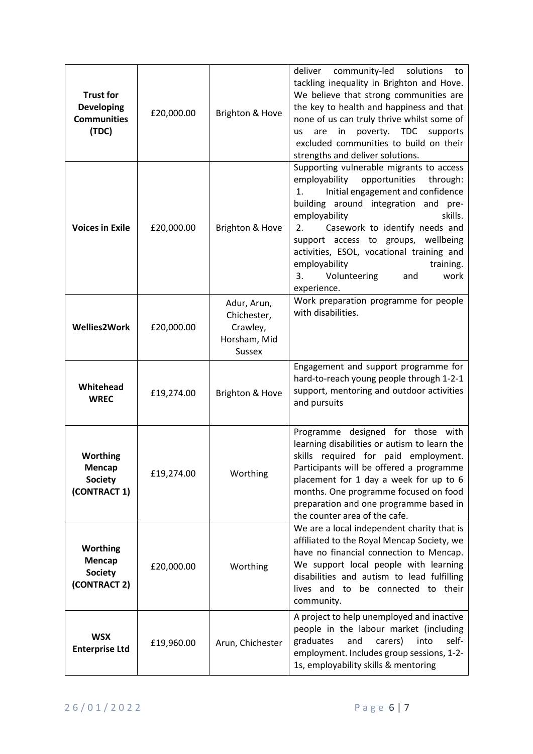| <b>Trust for</b><br><b>Developing</b><br><b>Communities</b><br>(TDC) | £20,000.00 | Brighton & Hove                                                         | deliver<br>community-led<br>solutions<br>to<br>tackling inequality in Brighton and Hove.<br>We believe that strong communities are<br>the key to health and happiness and that<br>none of us can truly thrive whilst some of<br>poverty. TDC<br>supports<br>are<br>in<br><b>us</b><br>excluded communities to build on their<br>strengths and deliver solutions.                                                    |
|----------------------------------------------------------------------|------------|-------------------------------------------------------------------------|---------------------------------------------------------------------------------------------------------------------------------------------------------------------------------------------------------------------------------------------------------------------------------------------------------------------------------------------------------------------------------------------------------------------|
| <b>Voices in Exile</b>                                               | £20,000.00 | Brighton & Hove                                                         | Supporting vulnerable migrants to access<br>employability<br>opportunities<br>through:<br>1.<br>Initial engagement and confidence<br>building around integration and pre-<br>employability<br>skills.<br>Casework to identify needs and<br>2.<br>support access to groups, wellbeing<br>activities, ESOL, vocational training and<br>employability<br>training.<br>Volunteering<br>work<br>3.<br>and<br>experience. |
| <b>Wellies2Work</b>                                                  | £20,000.00 | Adur, Arun,<br>Chichester,<br>Crawley,<br>Horsham, Mid<br><b>Sussex</b> | Work preparation programme for people<br>with disabilities.                                                                                                                                                                                                                                                                                                                                                         |
| Whitehead<br><b>WREC</b>                                             | £19,274.00 | Brighton & Hove                                                         | Engagement and support programme for<br>hard-to-reach young people through 1-2-1<br>support, mentoring and outdoor activities<br>and pursuits                                                                                                                                                                                                                                                                       |
| <b>Worthing</b><br>Mencap<br><b>Society</b><br>(CONTRACT 1)          | £19,274.00 | Worthing                                                                | Programme designed for those with<br>learning disabilities or autism to learn the<br>skills required for paid employment.<br>Participants will be offered a programme<br>placement for 1 day a week for up to 6<br>months. One programme focused on food<br>preparation and one programme based in<br>the counter area of the cafe.                                                                                 |
| <b>Worthing</b><br>Mencap<br><b>Society</b><br>(CONTRACT 2)          | £20,000.00 | Worthing                                                                | We are a local independent charity that is<br>affiliated to the Royal Mencap Society, we<br>have no financial connection to Mencap.<br>We support local people with learning<br>disabilities and autism to lead fulfilling<br>lives and to be connected to their<br>community.                                                                                                                                      |
| <b>WSX</b><br><b>Enterprise Ltd</b>                                  | £19,960.00 | Arun, Chichester                                                        | A project to help unemployed and inactive<br>people in the labour market (including<br>self-<br>graduates<br>carers)<br>into<br>and<br>employment. Includes group sessions, 1-2-<br>1s, employability skills & mentoring                                                                                                                                                                                            |